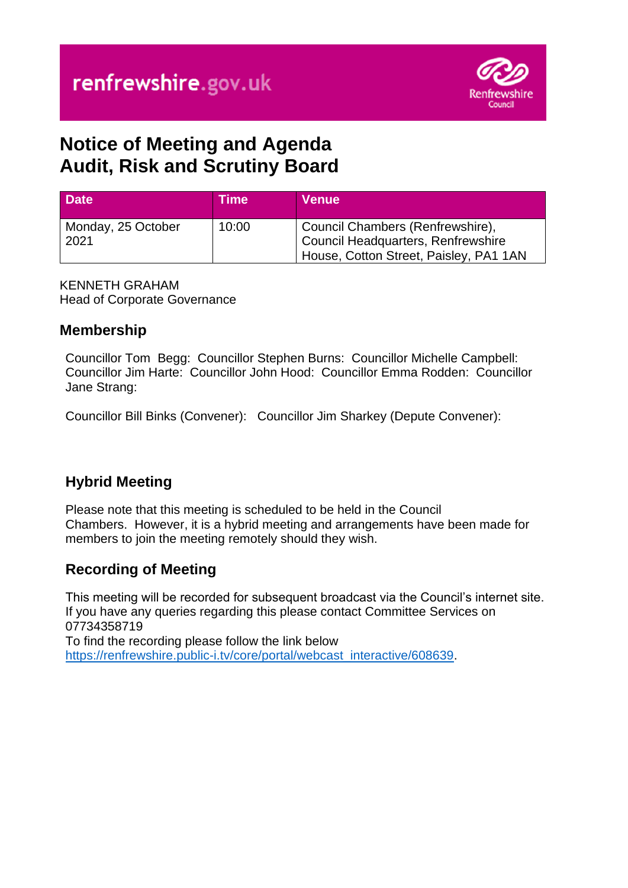

# **Notice of Meeting and Agenda Audit, Risk and Scrutiny Board**

| <b>Date</b>        | ιTime <sup>∖</sup> | Venue                                                                        |
|--------------------|--------------------|------------------------------------------------------------------------------|
| Monday, 25 October | 10:00              | Council Chambers (Renfrewshire),                                             |
| 2021               |                    | Council Headquarters, Renfrewshire<br>House, Cotton Street, Paisley, PA1 1AN |

KENNETH GRAHAM Head of Corporate Governance

## **Membership**

Councillor Tom Begg: Councillor Stephen Burns: Councillor Michelle Campbell: Councillor Jim Harte: Councillor John Hood: Councillor Emma Rodden: Councillor Jane Strang:

Councillor Bill Binks (Convener): Councillor Jim Sharkey (Depute Convener):

# **Hybrid Meeting**

Please note that this meeting is scheduled to be held in the Council Chambers. However, it is a hybrid meeting and arrangements have been made for members to join the meeting remotely should they wish.

# **Recording of Meeting**

This meeting will be recorded for subsequent broadcast via the Council's internet site. If you have any queries regarding this please contact Committee Services on 07734358719 To find the recording please follow the link below

[https://renfrewshire.public-i.tv/core/portal/webcast\\_interactive/608639.](https://renfrewshire.public-i.tv/core/portal/webcast_interactive/608639)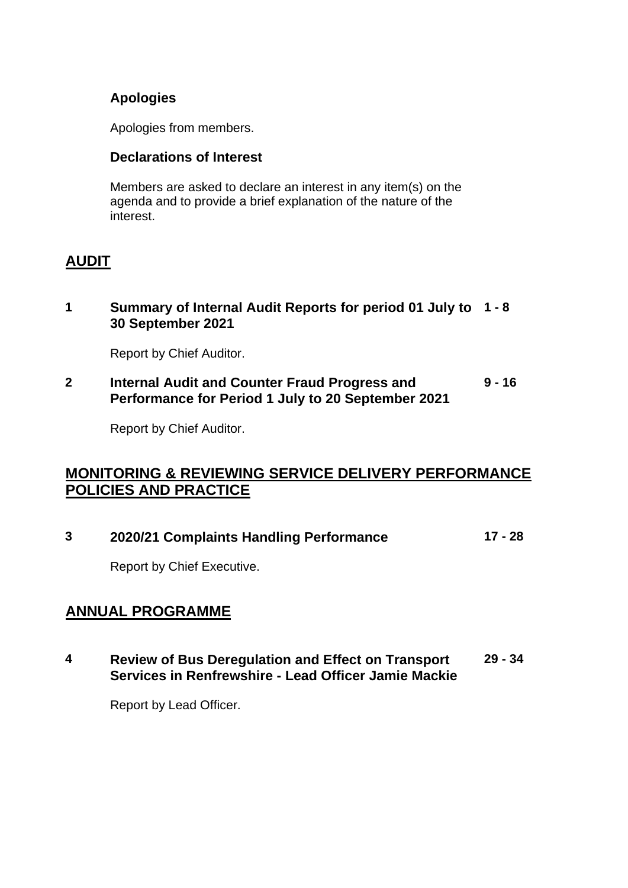#### **Apologies**

Apologies from members.

#### **Declarations of Interest**

Members are asked to declare an interest in any item(s) on the agenda and to provide a brief explanation of the nature of the interest.

### **AUDIT**

#### **1 Summary of Internal Audit Reports for period 01 July to 1 - 8 30 September 2021**

Report by Chief Auditor.

**2 Internal Audit and Counter Fraud Progress and Performance for Period 1 July to 20 September 2021 9 - 16**

Report by Chief Auditor.

### **MONITORING & REVIEWING SERVICE DELIVERY PERFORMANCE POLICIES AND PRACTICE**

|  | 2020/21 Complaints Handling Performance | 17 - 28 |
|--|-----------------------------------------|---------|
|--|-----------------------------------------|---------|

Report by Chief Executive.

### **ANNUAL PROGRAMME**

**4 Review of Bus Deregulation and Effect on Transport Services in Renfrewshire - Lead Officer Jamie Mackie 29 - 34**

Report by Lead Officer.